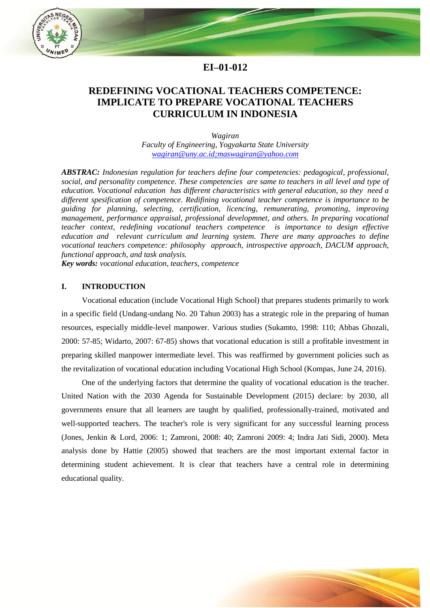

# **EI–01-012**

# **REDEFINING VOCATIONAL TEACHERS COMPETENCE: IMPLICATE TO PREPARE VOCATIONAL TEACHERS CURRICULUM IN INDONESIA**

*Wagiran Faculty of Engineering, Yogyakarta State University [wagiran@uny.ac.id;](mailto:wagiran@uny.ac.id)[maswagiran@yahoo.com](mailto:maswagiran@yahoo.com)*

*ABSTRAC: Indonesian regulation for teachers define four competencies: pedagogical, professional, social, and personality competence. These competencies are same to teachers in all level and type of education. Vocational education has different characteristics with general education, so they need a different spesification of competence. Redifining vocational teacher competence is importance to be guiding for planning, selecting, certification, licencing, remunerating, promoting, improving management, performance appraisal, professional developmnet, and others. In preparing vocational teacher context, redefining vocational teachers competence is importance to design effective education and relevant curriculum and learning system. There are many approaches to define vocational teachers competence: philosophy approach, introspective approach, DACUM approach, functional approach, and task analysis.*

*Key words: vocational education, teachers, competence*

#### **I. INTRODUCTION**

Vocational education (include Vocational High School) that prepares students primarily to work in a specific field (Undang-undang No. 20 Tahun 2003) has a strategic role in the preparing of human resources, especially middle-level manpower. Various studies (Sukamto, 1998: 110; Abbas Ghozali, 2000: 57-85; Widarto, 2007: 67-85) shows that vocational education is still a profitable investment in preparing skilled manpower intermediate level. This was reaffirmed by government policies such as the revitalization of vocational education including Vocational High School (Kompas, June 24, 2016).

One of the underlying factors that determine the quality of vocational education is the teacher. United Nation with the 2030 Agenda for Sustainable Development (2015) declare: by 2030, all governments ensure that all learners are taught by qualified, professionally-trained, motivated and well-supported teachers. The teacher's role is very significant for any successful learning process (Jones, Jenkin & Lord, 2006: 1; Zamroni, 2008: 40; Zamroni 2009: 4; Indra Jati Sidi, 2000). Meta analysis done by Hattie (2005) showed that teachers are the most important external factor in determining student achievement. It is clear that teachers have a central role in determining educational quality.

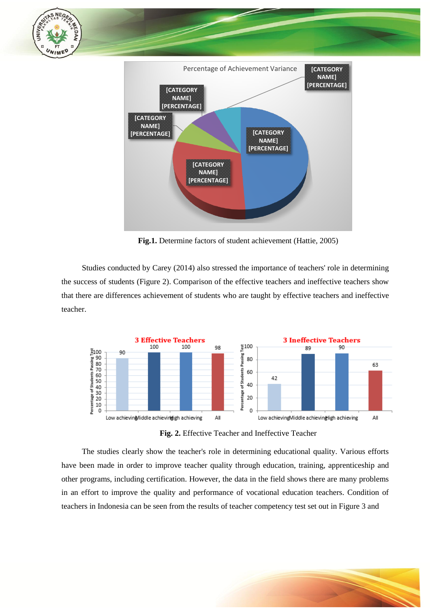

**Fig.1.** Determine factors of student achievement (Hattie, 2005)

Studies conducted by Carey (2014) also stressed the importance of teachers' role in determining the success of students (Figure 2). Comparison of the effective teachers and ineffective teachers show that there are differences achievement of students who are taught by effective teachers and ineffective teacher.



**Fig. 2.** Effective Teacher and Ineffective Teacher

The studies clearly show the teacher's role in determining educational quality. Various efforts have been made in order to improve teacher quality through education, training, apprenticeship and other programs, including certification. However, the data in the field shows there are many problems in an effort to improve the quality and performance of vocational education teachers. Condition of teachers in Indonesia can be seen from the results of teacher competency test set out in Figure 3 and

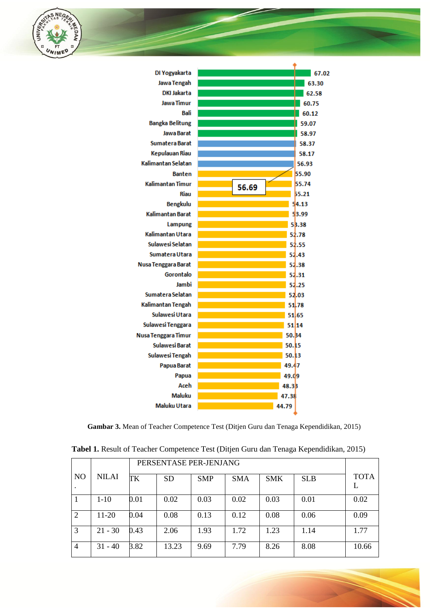



**Gambar 3.** Mean of Teacher Competence Test (Ditjen Guru dan Tenaga Kependidikan, 2015)

|                |              | PERSENTASE PER-JENJANG |           |            |            |            |            |             |
|----------------|--------------|------------------------|-----------|------------|------------|------------|------------|-------------|
| N <sub>O</sub> | <b>NILAI</b> | TK                     | <b>SD</b> | <b>SMP</b> | <b>SMA</b> | <b>SMK</b> | <b>SLB</b> | <b>TOTA</b> |
|                | $1-10$       | 0.01                   | 0.02      | 0.03       | 0.02       | 0.03       | 0.01       | 0.02        |
| 2              | $11-20$      | 0.04                   | 0.08      | 0.13       | 0.12       | 0.08       | 0.06       | 0.09        |
| 3              | $21 - 30$    | 0.43                   | 2.06      | 1.93       | 1.72       | 1.23       | 1.14       | 1.77        |
| $\overline{4}$ | $31 - 40$    | 3.82                   | 13.23     | 9.69       | 7.79       | 8.26       | 8.08       | 10.66       |

**Tabel 1.** Result of Teacher Competence Test (Ditjen Guru dan Tenaga Kependidikan, 2015)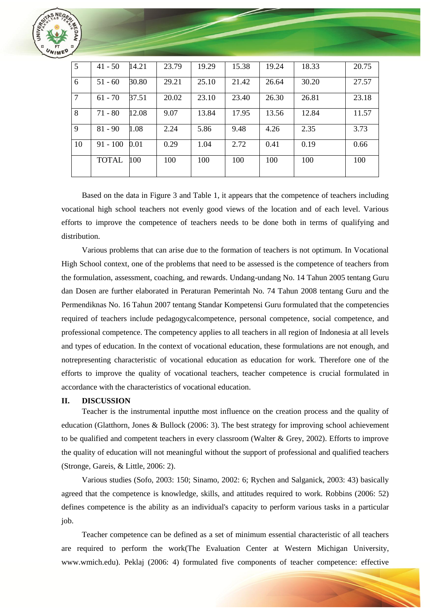

| $\overline{5}$ | $41 - 50$    | 14.21 | 23.79 | 19.29 | 15.38 | 19.24 | 18.33 | 20.75 |
|----------------|--------------|-------|-------|-------|-------|-------|-------|-------|
| 6              | $51 - 60$    | 30.80 | 29.21 | 25.10 | 21.42 | 26.64 | 30.20 | 27.57 |
| $\overline{7}$ | $61 - 70$    | 37.51 | 20.02 | 23.10 | 23.40 | 26.30 | 26.81 | 23.18 |
| 8              | $71 - 80$    | 12.08 | 9.07  | 13.84 | 17.95 | 13.56 | 12.84 | 11.57 |
| $\overline{9}$ | $81 - 90$    | 1.08  | 2.24  | 5.86  | 9.48  | 4.26  | 2.35  | 3.73  |
| <sup>10</sup>  | $91 - 100$   | 0.01  | 0.29  | 1.04  | 2.72  | 0.41  | 0.19  | 0.66  |
|                | <b>TOTAL</b> | 100   | 100   | 100   | 100   | 100   | 100   | 100   |

Based on the data in Figure 3 and Table 1, it appears that the competence of teachers including vocational high school teachers not evenly good views of the location and of each level. Various efforts to improve the competence of teachers needs to be done both in terms of qualifying and distribution.

Various problems that can arise due to the formation of teachers is not optimum. In Vocational High School context, one of the problems that need to be assessed is the competence of teachers from the formulation, assessment, coaching, and rewards. Undang-undang No. 14 Tahun 2005 tentang Guru dan Dosen are further elaborated in Peraturan Pemerintah No. 74 Tahun 2008 tentang Guru and the Permendiknas No. 16 Tahun 2007 tentang Standar Kompetensi Guru formulated that the competencies required of teachers include pedagogycalcompetence, personal competence, social competence, and professional competence. The competency applies to all teachers in all region of Indonesia at all levels and types of education. In the context of vocational education, these formulations are not enough, and notrepresenting characteristic of vocational education as education for work. Therefore one of the efforts to improve the quality of vocational teachers, teacher competence is crucial formulated in accordance with the characteristics of vocational education.

#### **II. DISCUSSION**

Teacher is the instrumental inputthe most influence on the creation process and the quality of education (Glatthorn, Jones & Bullock (2006: 3). The best strategy for improving school achievement to be qualified and competent teachers in every classroom (Walter & Grey, 2002). Efforts to improve the quality of education will not meaningful without the support of professional and qualified teachers (Stronge, Gareis, & Little, 2006: 2).

Various studies (Sofo, 2003: 150; Sinamo, 2002: 6; Rychen and Salganick, 2003: 43) basically agreed that the competence is knowledge, skills, and attitudes required to work. Robbins (2006: 52) defines competence is the ability as an individual's capacity to perform various tasks in a particular job.

Teacher competence can be defined as a set of minimum essential characteristic of all teachers are required to perform the work(The Evaluation Center at Western Michigan University, www.wmich.edu). Peklaj (2006: 4) formulated five components of teacher competence: effective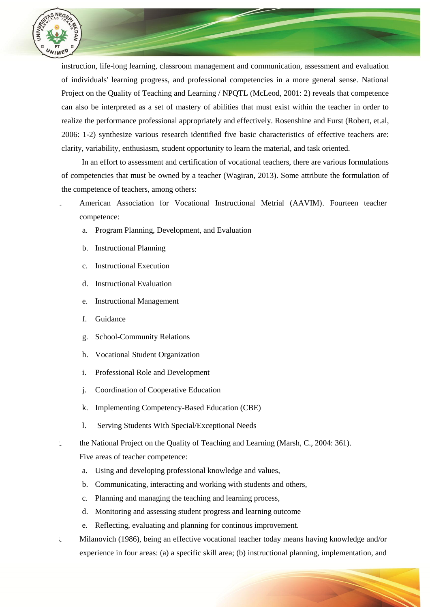

instruction, life-long learning, classroom management and communication, assessment and evaluation of individuals' learning progress, and professional competencies in a more general sense. National Project on the Quality of Teaching and Learning / NPQTL (McLeod, 2001: 2) reveals that competence can also be interpreted as a set of mastery of abilities that must exist within the teacher in order to realize the performance professional appropriately and effectively. Rosenshine and Furst (Robert, et.al, 2006: 1-2) synthesize various research identified five basic characteristics of effective teachers are: clarity, variability, enthusiasm, student opportunity to learn the material, and task oriented.

In an effort to assessment and certification of vocational teachers, there are various formulations of competencies that must be owned by a teacher (Wagiran, 2013). Some attribute the formulation of the competence of teachers, among others:

- 1. American Association for Vocational Instructional Metrial (AAVIM). Fourteen teacher competence:
	- a. Program Planning, Development, and Evaluation
	- b. Instructional Planning
	- c. Instructional Execution
	- d. Instructional Evaluation
	- e. Instructional Management
	- f. Guidance
	- g. School-Community Relations
	- h. Vocational Student Organization
	- i. Professional Role and Development
	- j. Coordination of Cooperative Education
	- k. Implementing Competency-Based Education (CBE)
	- l. Serving Students With Special/Exceptional Needs
- 2. the National Project on the Quality of Teaching and Learning (Marsh, C., 2004: 361).

Five areas of teacher competence:

- a. Using and developing professional knowledge and values,
- b. Communicating, interacting and working with students and others,
- c. Planning and managing the teaching and learning process,
- d. Monitoring and assessing student progress and learning outcome
- e. Reflecting, evaluating and planning for continous improvement.
- 3. Milanovich (1986), being an effective vocational teacher today means having knowledge and/or experience in four areas: (a) a specific skill area; (b) instructional planning, implementation, and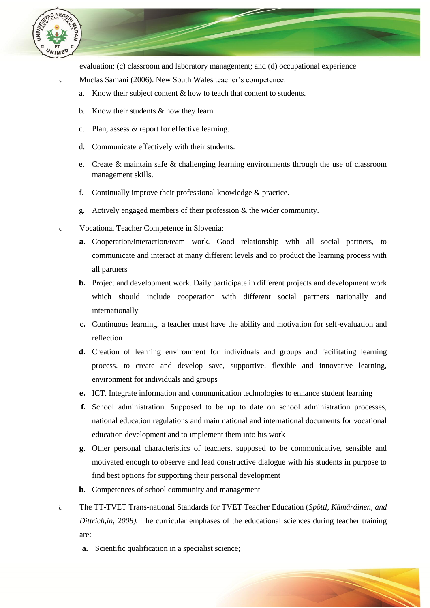

evaluation; (c) classroom and laboratory management; and (d) occupational experience

- Muclas Samani (2006). New South Wales teacher's competence:
	- a. Know their subject content & how to teach that content to students.
	- b. Know their students & how they learn
	- c. Plan, assess & report for effective learning.
	- d. Communicate effectively with their students.
	- e. Create & maintain safe & challenging learning environments through the use of classroom management skills.
	- f. Continually improve their professional knowledge & practice.
	- g. Actively engaged members of their profession & the wider community.
- 5. Vocational Teacher Competence in Slovenia:
	- **a.** Cooperation/interaction/team work. Good relationship with all social partners, to communicate and interact at many different levels and co product the learning process with all partners
	- **b.** Project and development work. Daily participate in different projects and development work which should include cooperation with different social partners nationally and internationally
	- **c.** Continuous learning. a teacher must have the ability and motivation for self-evaluation and reflection
	- **d.** Creation of learning environment for individuals and groups and facilitating learning process. to create and develop save, supportive, flexible and innovative learning, environment for individuals and groups
	- **e.** ICT. Integrate information and communication technologies to enhance student learning
	- **f.** School administration. Supposed to be up to date on school administration processes, national education regulations and main national and international documents for vocational education development and to implement them into his work
	- **g.** Other personal characteristics of teachers. supposed to be communicative, sensible and motivated enough to observe and lead constructive dialogue with his students in purpose to find best options for supporting their personal development
	- **h.** Competences of school community and management
- 6. The TT-TVET Trans-national Standards for TVET Teacher Education (*Spöttl, Kämäräinen, and Dittrich,in, 2008).* The curricular emphases of the educational sciences during teacher training are:
	- **a.** Scientific qualification in a specialist science;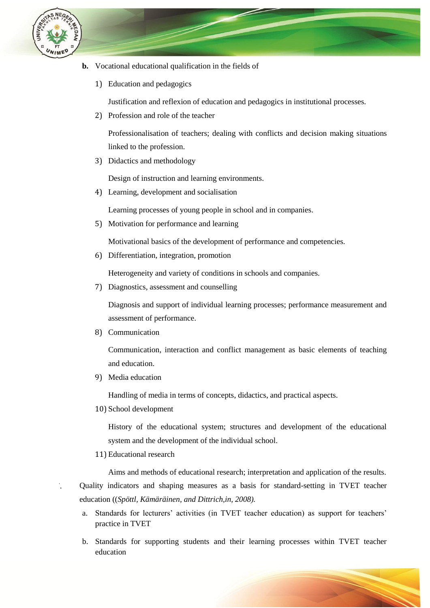

- **b.** Vocational educational qualification in the fields of
	- 1) Education and pedagogics

Justification and reflexion of education and pedagogics in institutional processes.

2) Profession and role of the teacher

Professionalisation of teachers; dealing with conflicts and decision making situations linked to the profession.

3) Didactics and methodology

Design of instruction and learning environments.

4) Learning, development and socialisation

Learning processes of young people in school and in companies.

5) Motivation for performance and learning

Motivational basics of the development of performance and competencies.

6) Differentiation, integration, promotion

Heterogeneity and variety of conditions in schools and companies.

7) Diagnostics, assessment and counselling

Diagnosis and support of individual learning processes; performance measurement and assessment of performance.

8) Communication

Communication, interaction and conflict management as basic elements of teaching and education.

9) Media education

Handling of media in terms of concepts, didactics, and practical aspects.

10) School development

History of the educational system; structures and development of the educational system and the development of the individual school.

11) Educational research

Aims and methods of educational research; interpretation and application of the results. 7. Quality indicators and shaping measures as a basis for standard-setting in TVET teacher education ((*Spöttl, Kämäräinen, and Dittrich,in, 2008).*

- a. Standards for lecturers' activities (in TVET teacher education) as support for teachers' practice in TVET
- b. Standards for supporting students and their learning processes within TVET teacher education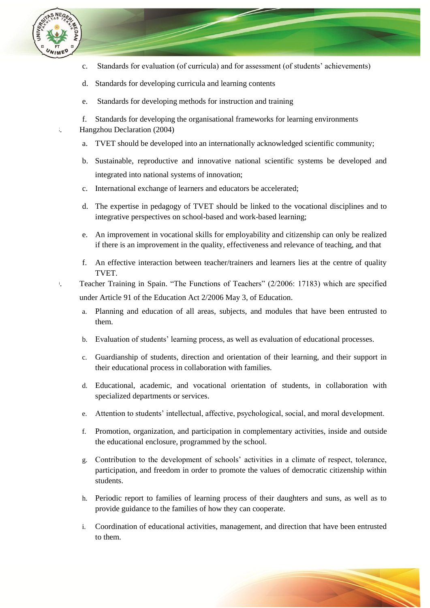

- c. Standards for evaluation (of curricula) and for assessment (of students" achievements)
- d. Standards for developing curricula and learning contents
- e. Standards for developing methods for instruction and training
- f. Standards for developing the organisational frameworks for learning environments
- 8. Hangzhou Declaration (2004)
	- a. TVET should be developed into an internationally acknowledged scientific community;
	- b. Sustainable, reproductive and innovative national scientific systems be developed and integrated into national systems of innovation;
	- c. International exchange of learners and educators be accelerated;
	- d. The expertise in pedagogy of TVET should be linked to the vocational disciplines and to integrative perspectives on school-based and work-based learning;
	- e. An improvement in vocational skills for employability and citizenship can only be realized if there is an improvement in the quality, effectiveness and relevance of teaching, and that
	- f. An effective interaction between teacher/trainers and learners lies at the centre of quality TVET.
- 9. Teacher Training in Spain. "The Functions of Teachers" (2/2006: 17183) which are specified under Article 91 of the Education Act 2/2006 May 3, of Education.
	- a. Planning and education of all areas, subjects, and modules that have been entrusted to them.
	- b. Evaluation of students" learning process, as well as evaluation of educational processes.
	- c. Guardianship of students, direction and orientation of their learning, and their support in their educational process in collaboration with families.
	- d. Educational, academic, and vocational orientation of students, in collaboration with specialized departments or services.
	- e. Attention to students" intellectual, affective, psychological, social, and moral development.
	- f. Promotion, organization, and participation in complementary activities, inside and outside the educational enclosure, programmed by the school.
	- g. Contribution to the development of schools" activities in a climate of respect, tolerance, participation, and freedom in order to promote the values of democratic citizenship within students.
	- h. Periodic report to families of learning process of their daughters and suns, as well as to provide guidance to the families of how they can cooperate.
	- i. Coordination of educational activities, management, and direction that have been entrusted to them.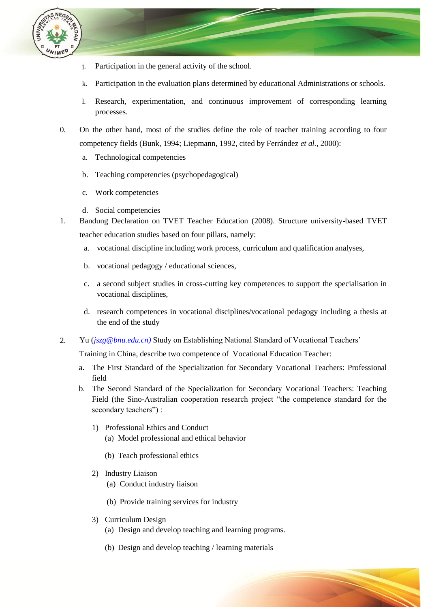

- j. Participation in the general activity of the school.
- k. Participation in the evaluation plans determined by educational Administrations or schools.
- l. Research, experimentation, and continuous improvement of corresponding learning processes.
- 10. On the other hand, most of the studies define the role of teacher training according to four competency fields (Bunk, 1994; Liepmann, 1992, cited by Ferrández *et al.*, 2000):
	- a. Technological competencies
	- b. Teaching competencies (psychopedagogical)
	- c. Work competencies
	- d. Social competencies
- 1. Bandung Declaration on TVET Teacher Education (2008). Structure university-based TVET teacher education studies based on four pillars, namely:
	- a. vocational discipline including work process, curriculum and qualification analyses,
	- b. vocational pedagogy / educational sciences,
	- c. a second subject studies in cross-cutting key competences to support the specialisation in vocational disciplines,
	- d. research competences in vocational disciplines/vocational pedagogy including a thesis at the end of the study
- 12. Yu (*[jszg@bnu.edu.cn\)](mailto:jszg@bnu.edu.cn)* Study on Establishing National Standard of Vocational Teachers"

Training in China, describe two competence of Vocational Education Teacher:

- a. The First Standard of the Specialization for Secondary Vocational Teachers: Professional field
- b. The Second Standard of the Specialization for Secondary Vocational Teachers: Teaching Field (the Sino-Australian cooperation research project "the competence standard for the secondary teachers") :
	- 1) Professional Ethics and Conduct
		- (a) Model professional and ethical behavior
		- (b) Teach professional ethics
	- 2) Industry Liaison
		- (a) Conduct industry liaison
		- (b) Provide training services for industry
	- 3) Curriculum Design
		- (a) Design and develop teaching and learning programs.
		- (b) Design and develop teaching / learning materials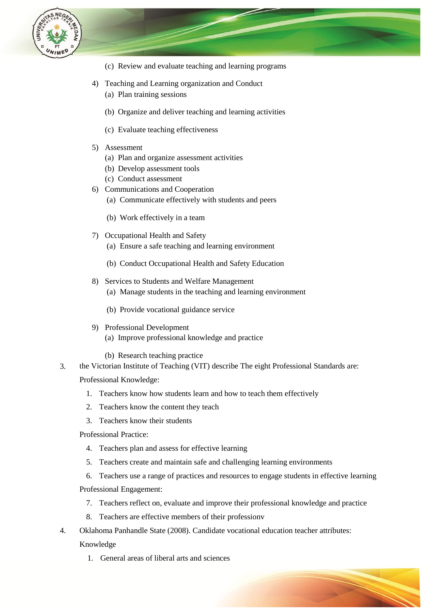

- (c) Review and evaluate teaching and learning programs
- 4) Teaching and Learning organization and Conduct
	- (a) Plan training sessions
	- (b) Organize and deliver teaching and learning activities
	- (c) Evaluate teaching effectiveness
- 5) Assessment
	- (a) Plan and organize assessment activities
	- (b) Develop assessment tools
	- (c) Conduct assessment
- 6) Communications and Cooperation
	- (a) Communicate effectively with students and peers
	- (b) Work effectively in a team
- 7) Occupational Health and Safety
	- (a) Ensure a safe teaching and learning environment
	- (b) Conduct Occupational Health and Safety Education
- 8) Services to Students and Welfare Management
	- (a) Manage students in the teaching and learning environment
	- (b) Provide vocational guidance service
- 9) Professional Development (a) Improve professional knowledge and practice
	- (b) Research teaching practice
- 13. the Victorian Institute of Teaching (VIT) describe The eight Professional Standards are: Professional Knowledge:
	- 1. Teachers know how students learn and how to teach them effectively
	- 2. Teachers know the content they teach
	- 3. Teachers know their students
	- Professional Practice:
		- 4. Teachers plan and assess for effective learning
		- 5. Teachers create and maintain safe and challenging learning environments
	- 6. Teachers use a range of practices and resources to engage students in effective learning Professional Engagement:
		- 7. Teachers reflect on, evaluate and improve their professional knowledge and practice
		- 8. Teachers are effective members of their professionv
- 14. Oklahoma Panhandle State (2008). Candidate vocational education teacher attributes: Knowledge
	- 1. General areas of liberal arts and sciences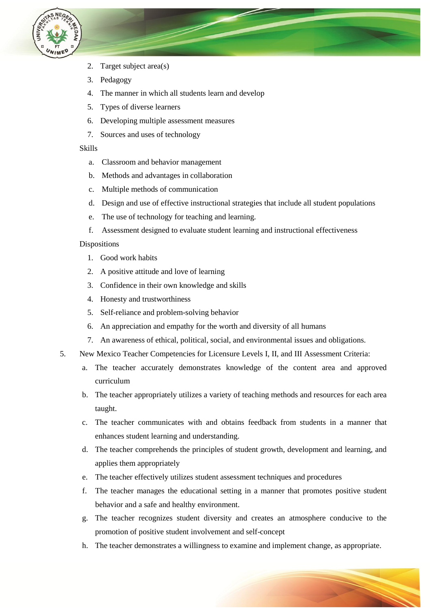

- 2. Target subject area(s)
- 3. Pedagogy
- 4. The manner in which all students learn and develop
- 5. Types of diverse learners
- 6. Developing multiple assessment measures
- 7. Sources and uses of technology

Skills

- a. Classroom and behavior management
- b. Methods and advantages in collaboration
- c. Multiple methods of communication
- d. Design and use of effective instructional strategies that include all student populations
- e. The use of technology for teaching and learning.
- f. Assessment designed to evaluate student learning and instructional effectiveness

### Dispositions

- 1. Good work habits
- 2. A positive attitude and love of learning
- 3. Confidence in their own knowledge and skills
- 4. Honesty and trustworthiness
- 5. Self-reliance and problem-solving behavior
- 6. An appreciation and empathy for the worth and diversity of all humans
- 7. An awareness of ethical, political, social, and environmental issues and obligations.
- 15. New Mexico Teacher Competencies for Licensure Levels I, II, and III Assessment Criteria:
	- a. The teacher accurately demonstrates knowledge of the content area and approved curriculum
	- b. The teacher appropriately utilizes a variety of teaching methods and resources for each area taught.
	- c. The teacher communicates with and obtains feedback from students in a manner that enhances student learning and understanding.
	- d. The teacher comprehends the principles of student growth, development and learning, and applies them appropriately
	- e. The teacher effectively utilizes student assessment techniques and procedures
	- f. The teacher manages the educational setting in a manner that promotes positive student behavior and a safe and healthy environment.
	- g. The teacher recognizes student diversity and creates an atmosphere conducive to the promotion of positive student involvement and self-concept
	- h. The teacher demonstrates a willingness to examine and implement change, as appropriate.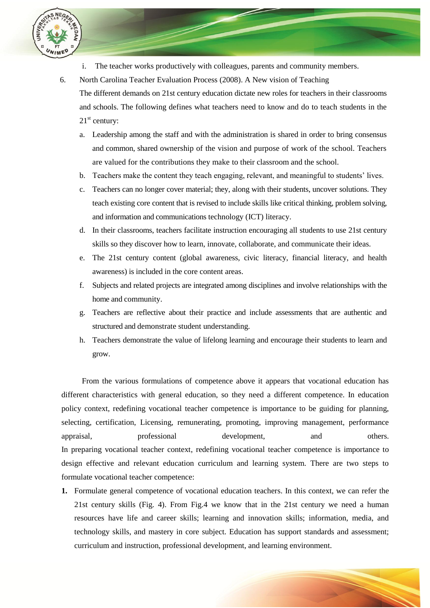

- i. The teacher works productively with colleagues, parents and community members.
- 16. North Carolina Teacher Evaluation Process (2008). A New vision of Teaching The different demands on 21st century education dictate new roles for teachers in their classrooms and schools. The following defines what teachers need to know and do to teach students in the  $21<sup>st</sup>$  century:
	- a. Leadership among the staff and with the administration is shared in order to bring consensus and common, shared ownership of the vision and purpose of work of the school. Teachers are valued for the contributions they make to their classroom and the school.
	- b. Teachers make the content they teach engaging, relevant, and meaningful to students" lives.
	- c. Teachers can no longer cover material; they, along with their students, uncover solutions. They teach existing core content that is revised to include skills like critical thinking, problem solving, and information and communications technology (ICT) literacy.
	- d. In their classrooms, teachers facilitate instruction encouraging all students to use 21st century skills so they discover how to learn, innovate, collaborate, and communicate their ideas.
	- e. The 21st century content (global awareness, civic literacy, financial literacy, and health awareness) is included in the core content areas.
	- f. Subjects and related projects are integrated among disciplines and involve relationships with the home and community.
	- g. Teachers are reflective about their practice and include assessments that are authentic and structured and demonstrate student understanding.
	- h. Teachers demonstrate the value of lifelong learning and encourage their students to learn and grow.

From the various formulations of competence above it appears that vocational education has different characteristics with general education, so they need a different competence. In education policy context, redefining vocational teacher competence is importance to be guiding for planning, selecting, certification, Licensing, remunerating, promoting, improving management, performance appraisal, professional development, and others. In preparing vocational teacher context, redefining vocational teacher competence is importance to design effective and relevant education curriculum and learning system. There are two steps to formulate vocational teacher competence:

**1.** Formulate general competence of vocational education teachers. In this context, we can refer the 21st century skills (Fig. 4). From Fig.4 we know that in the 21st century we need a human resources have life and career skills; learning and innovation skills; information, media, and technology skills, and mastery in core subject. Education has support standards and assessment; curriculum and instruction, professional development, and learning environment.

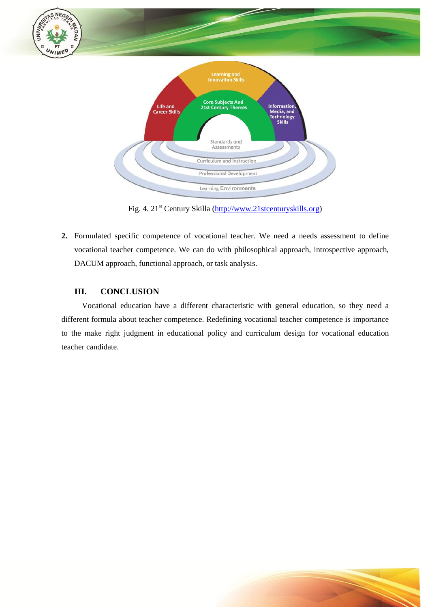

Fig. 4. 21st Century Skilla [\(http://www.21stcenturyskills.org\)](http://www.21stcenturyskills.org/)

**2.** Formulated specific competence of vocational teacher. We need a needs assessment to define vocational teacher competence. We can do with philosophical approach, introspective approach, DACUM approach, functional approach, or task analysis.

# **III. CONCLUSION**

Vocational education have a different characteristic with general education, so they need a different formula about teacher competence. Redefining vocational teacher competence is importance to the make right judgment in educational policy and curriculum design for vocational education teacher candidate.

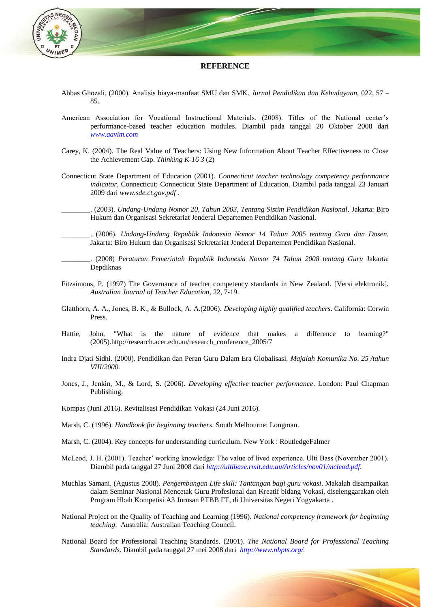

#### **REFERENCE**

- Abbas Ghozali. (2000). Analisis biaya-manfaat SMU dan SMK. *Jurnal Pendidikan dan Kebudayaan,* 022, 57 85.
- American Association for Vocational Instructional Materials. (2008). Titles of the National center's performance-based teacher education modules. Diambil pada tanggal 20 Oktober 2008 dari *[www.aavim.com](http://www.aavim.com/)*
- Carey, K. (2004). The Real Value of Teachers: Using New Information About Teacher Effectiveness to Close the Achievement Gap. *Thinking K-16 3* (2)
- Connecticut State Department of Education (2001). *Connecticut teacher technology competency performance indicator*. Connecticut: Connecticut State Department of Education. Diambil pada tanggal 23 Januari 2009 dari *www.sde.ct.gov.pdf* .
	- \_\_\_\_\_\_\_\_. (2003). *Undang-Undang Nomor 20, Tahun 2003, Tentang Sistim Pendidikan Nasional*. Jakarta: Biro Hukum dan Organisasi Sekretariat Jenderal Departemen Pendidikan Nasional.
		- \_\_\_\_\_\_\_\_. (2006). *Undang-Undang Republik Indonesia Nomor 14 Tahun 2005 tentang Guru dan Dosen.* Jakarta: Biro Hukum dan Organisasi Sekretariat Jenderal Departemen Pendidikan Nasional.
- \_\_\_\_\_\_\_\_. (2008) *Peraturan Pemerintah Republik Indonesia Nomor 74 Tahun 2008 tentang Guru* Jakarta: Depdiknas
- Fitzsimons, P. (1997) The Governance of teacher competency standards in New Zealand. [Versi elektronik]. *Australian Journal of Teacher Education,* 22, 7-19.
- Glatthorn, A. A., Jones, B. K., & Bullock, A. A.(2006). *Developing highly qualified teachers*. California: Corwin Press.
- Hattie, John, "What is the nature of evidence that makes a difference to learning?" (2005).http://research.acer.edu.au/research\_conference\_2005/7
- Indra Djati Sidhi. (2000). Pendidikan dan Peran Guru Dalam Era Globalisasi, *Majalah Komunika No. 25 /tahun VIII/2000.*
- Jones, J., Jenkin, M., & Lord, S. (2006). *Developing effective teacher performance*. London: Paul Chapman Publishing.
- Kompas (Juni 2016). Revitalisasi Pendidikan Vokasi (24 Juni 2016).
- Marsh, C. (1996). *Handbook for beginning teachers*. South Melbourne: Longman.
- Marsh, C. (2004). Key concepts for understanding curriculum*.* New York : RoutledgeFalmer
- McLeod, J. H. (2001). Teacher" working knowledge: The value of lived experience. Ulti Bass (November 2001). Diambil pada tanggal 27 Juni 2008 dari *[http://ultibase.rmit.edu.au/Articles/nov01/mcleod.pdf.](http://ultibase.rmit.edu.au/Articles/nov01/mcleod.pdf)*
- Muchlas Samani. (Agustus 2008). *Pengembangan Life skill: Tantangan bagi guru vokasi*. Makalah disampaikan dalam Seminar Nasional Mencetak Guru Profesional dan Kreatif bidang Vokasi, diselenggarakan oleh Program Hbah Kompetisi A3 Jurusan PTBB FT, di Universitas Negeri Yogyakarta .
- National Project on the Quality of Teaching and Learning (1996). *National competency framework for beginning teaching*. Australia: Australian Teaching Council.
- National Board for Professional Teaching Standards. (2001). *The National Board for Professional Teaching Standards*. Diambil pada tanggal 27 mei 2008 dari *[http://www.nbpts.org/.](http://www.nbpts.org/)*